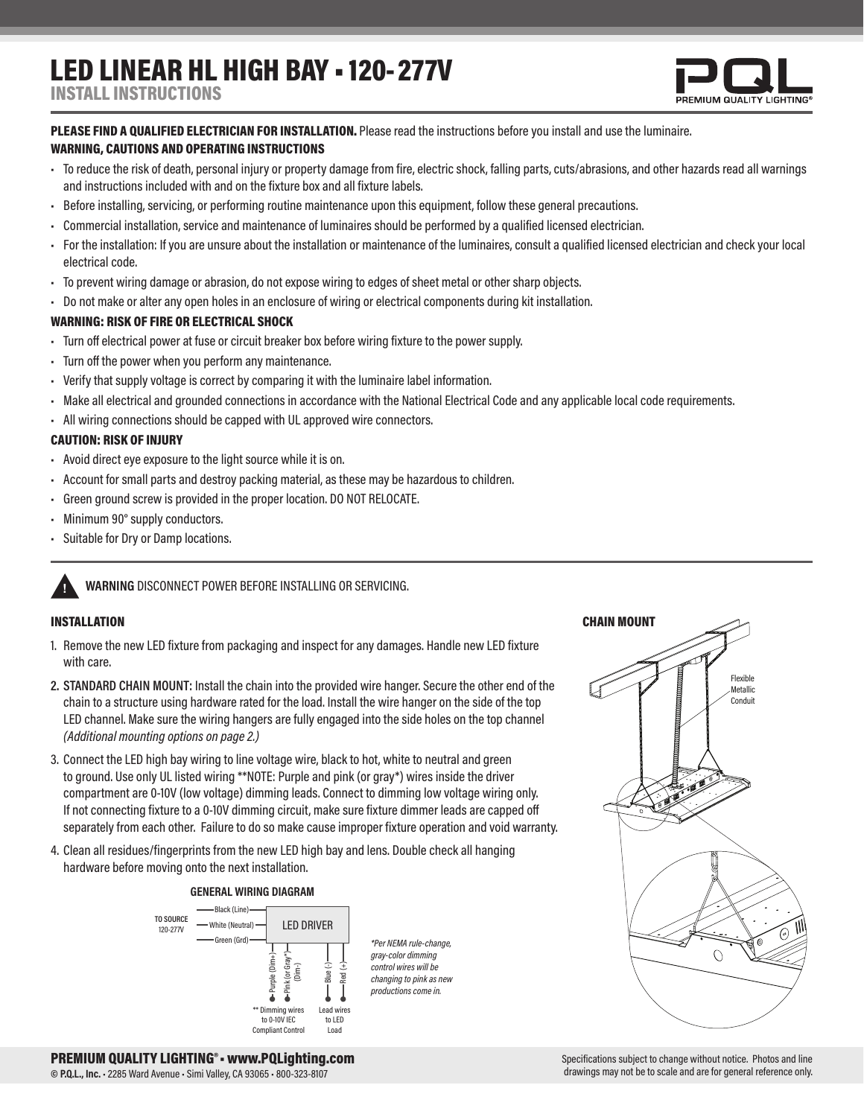# LED LINEAR HL HIGH BAY • 120- 277V



## PLEASE FIND A QUALIFIED ELECTRICIAN FOR INSTALLATION. Please read the instructions before you install and use the luminaire.

### WARNING, CAUTIONS AND OPERATING INSTRUCTIONS

- To reduce the risk of death, personal injury or property damage from fire, electric shock, falling parts, cuts/abrasions, and other hazards read all warnings and instructions included with and on the fixture box and all fixture labels.
- Before installing, servicing, or performing routine maintenance upon this equipment, follow these general precautions.
- Commercial installation, service and maintenance of luminaires should be performed by a qualified licensed electrician.
- For the installation: If you are unsure about the installation or maintenance of the luminaires, consult a qualified licensed electrician and check your local electrical code.
- To prevent wiring damage or abrasion, do not expose wiring to edges of sheet metal or other sharp objects.
- Do not make or alter any open holes in an enclosure of wiring or electrical components during kit installation.

#### WARNING: RISK OF FIRE OR ELECTRICAL SHOCK

- Turn off electrical power at fuse or circuit breaker box before wiring fixture to the power supply.
- Turn off the power when you perform any maintenance.
- Verify that supply voltage is correct by comparing it with the luminaire label information.
- Make all electrical and grounded connections in accordance with the National Electrical Code and any applicable local code requirements.
- All wiring connections should be capped with UL approved wire connectors.

#### CAUTION: RISK OF INJURY

- Avoid direct eye exposure to the light source while it is on.
- Account for small parts and destroy packing material, as these may be hazardous to children.
- Green ground screw is provided in the proper location. DO NOT RELOCATE.
- Minimum 90° supply conductors.
- Suitable for Dry or Damp locations.

### **! WARNING** DISCONNECT POWER BEFORE INSTALLING OR SERVICING.

#### INSTALLATION

- 1. Remove the new LED fixture from packaging and inspect for any damages. Handle new LED fixture with care.
- **2. STANDARD CHAIN MOUNT:** Install the chain into the provided wire hanger. Secure the other end of the chain to a structure using hardware rated for the load. Install the wire hanger on the side of the top LED channel. Make sure the wiring hangers are fully engaged into the side holes on the top channel *(Additional mounting options on page 2.)*
- 3. Connect the LED high bay wiring to line voltage wire, black to hot, white to neutral and green to ground. Use only UL listed wiring \*\*NOTE: Purple and pink (or gray\*) wires inside the driver compartment are 0-10V (low voltage) dimming leads. Connect to dimming low voltage wiring only. If not connecting fixture to a 0-10V dimming circuit, make sure fixture dimmer leads are capped off separately from each other. Failure to do so make cause improper fixture operation and void warranty.
- 4. Clean all residues/fingerprints from the new LED high bay and lens. Double check all hanging hardware before moving onto the next installation.

#### **GENERAL WIRING DIAGRAM**



*\*Per NEMA rule-change, gray-color dimming control wires will be changing to pink as new productions come in.*



PREMIUM QUALITY LIGHTING®• www.PQLighting.com

**© P.Q.L., Inc.** • 2285 Ward Avenue • Simi Valley, CA 93065 • 800-323-8107

#### Specifications subject to change without notice. Photos and line drawings may not be to scale and are for general reference only.